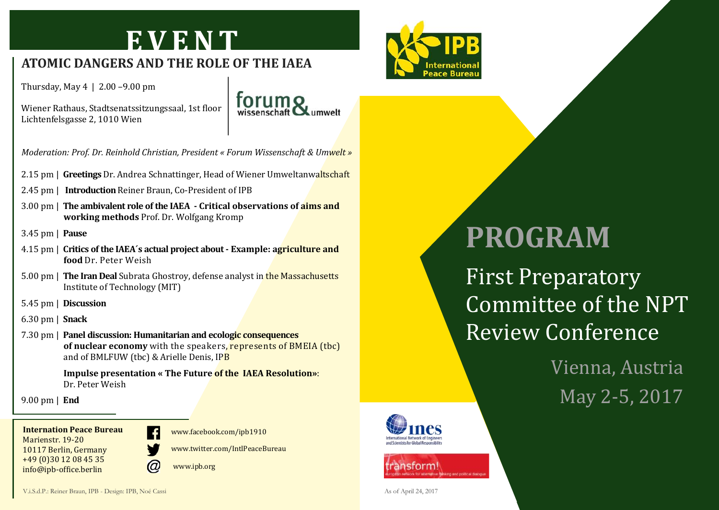### **E V E N T**

#### **ATOMIC DANGERS AND THE ROLE OF THE IAEA**

Thursday, May 4 | 2.00 –9.00 pm

Wiener Rathaus, Stadtsenatssitzungssaal, 1st floor Lichtenfelsgasse 2, 1010 Wien



*Moderation: Prof. Dr. Reinhold Christian, President « Forum Wissenschaft & Umwelt »*

- 2.15 pm | **Greetings** Dr. Andrea Schnattinger, Head of Wiener Umweltanwaltschaft
- 2.45 pm | **Introduction** Reiner Braun, Co-President of IPB
- 3.00 pm | **The ambivalent role of the IAEA - Critical observations of aims and working methods** Prof. Dr. Wolfgang Kromp
- 3.45 pm | **Pause**
- 4.15 pm | **Critics of the IAEA´s actual project about - Example: agriculture and food** Dr. Peter Weish
- 5.00 pm | **The Iran Deal** Subrata Ghostroy, defense analyst in the Massachusetts Institute of Technology (MIT)
- 5.45 pm | **Discussion**
- 6.30 pm | **Snack**
- 7.30 pm | **Panel discussion: Humanitarian and ecologic consequences of nuclear economy** with the speakers, represents of BMEIA (tbc) and of BMLFUW (tbc) & Arielle Denis, IPB

**Impulse presentation « The Future of the IAEA Resolution»**: Dr. Peter Weish

9.00 pm | **End**

**Internation Peace Bureau** Marienstr. 19-20 10117 Berlin, Germany +49 (0)30 12 08 45 35 info@ipb-office.berlin



www.facebook.com/ipb1910

www.twitter.com/IntlPeaceBureau

www.ipb.org



## **PROGRAM**

First Preparatory Committee of the NPT Review Conference

> Vienna, Austria May 2-5, 2017



nsforml